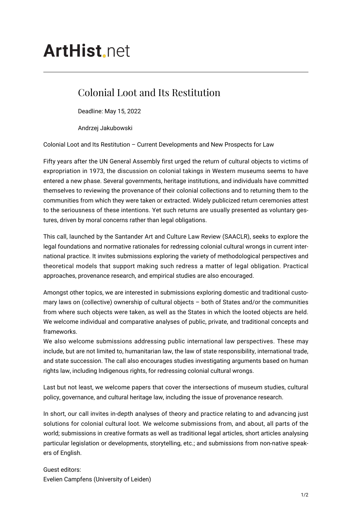## **ArtHist** net

## Colonial Loot and Its Restitution

Deadline: May 15, 2022

Andrzej Jakubowski

Colonial Loot and Its Restitution – Current Developments and New Prospects for Law

Fifty years after the UN General Assembly first urged the return of cultural objects to victims of expropriation in 1973, the discussion on colonial takings in Western museums seems to have entered a new phase. Several governments, heritage institutions, and individuals have committed themselves to reviewing the provenance of their colonial collections and to returning them to the communities from which they were taken or extracted. Widely publicized return ceremonies attest to the seriousness of these intentions. Yet such returns are usually presented as voluntary gestures, driven by moral concerns rather than legal obligations.

This call, launched by the Santander Art and Culture Law Review (SAACLR), seeks to explore the legal foundations and normative rationales for redressing colonial cultural wrongs in current international practice. It invites submissions exploring the variety of methodological perspectives and theoretical models that support making such redress a matter of legal obligation. Practical approaches, provenance research, and empirical studies are also encouraged.

Amongst other topics, we are interested in submissions exploring domestic and traditional customary laws on (collective) ownership of cultural objects – both of States and/or the communities from where such objects were taken, as well as the States in which the looted objects are held. We welcome individual and comparative analyses of public, private, and traditional concepts and frameworks.

We also welcome submissions addressing public international law perspectives. These may include, but are not limited to, humanitarian law, the law of state responsibility, international trade, and state succession. The call also encourages studies investigating arguments based on human rights law, including Indigenous rights, for redressing colonial cultural wrongs.

Last but not least, we welcome papers that cover the intersections of museum studies, cultural policy, governance, and cultural heritage law, including the issue of provenance research.

In short, our call invites in-depth analyses of theory and practice relating to and advancing just solutions for colonial cultural loot. We welcome submissions from, and about, all parts of the world; submissions in creative formats as well as traditional legal articles, short articles analysing particular legislation or developments, storytelling, etc.; and submissions from non-native speakers of English.

Guest editors: Evelien Campfens (University of Leiden)